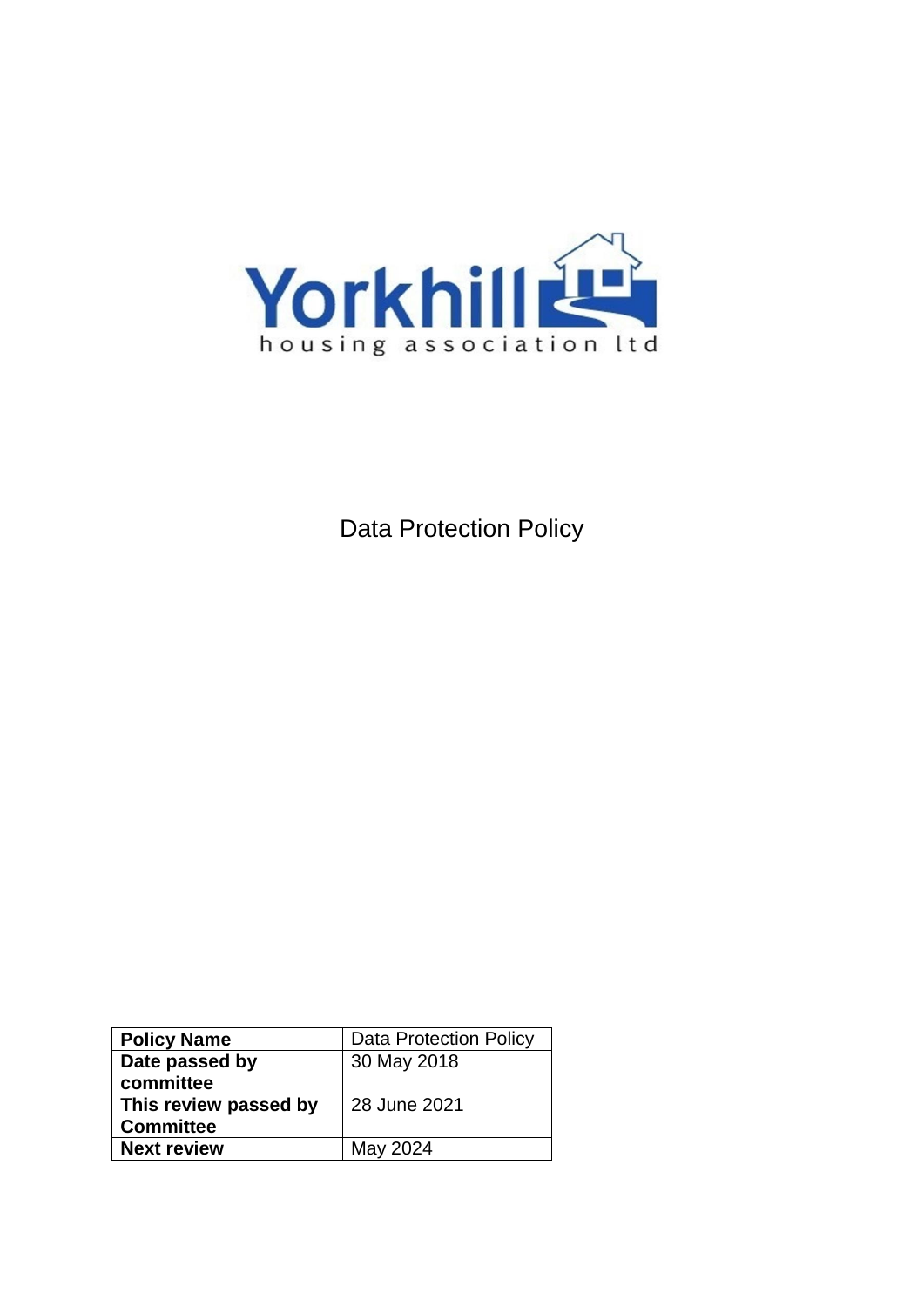

Data Protection Policy

| <b>Policy Name</b>    | <b>Data Protection Policy</b> |
|-----------------------|-------------------------------|
| Date passed by        | 30 May 2018                   |
| committee             |                               |
| This review passed by | 28 June 2021                  |
| <b>Committee</b>      |                               |
| <b>Next review</b>    | May 2024                      |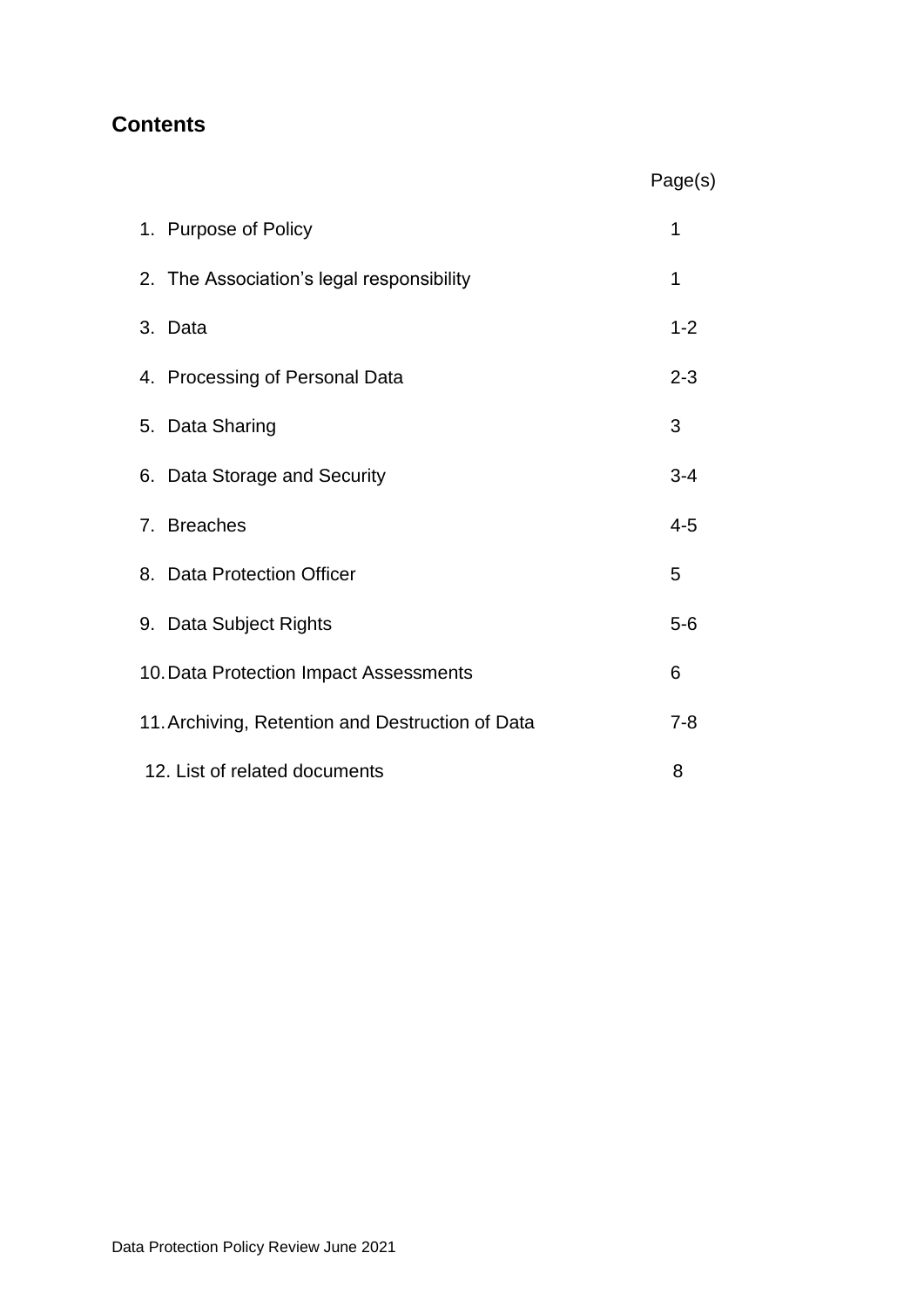## **Contents**

|                                                  | Page(s) |
|--------------------------------------------------|---------|
| 1. Purpose of Policy                             | 1       |
| 2. The Association's legal responsibility        | 1       |
| 3. Data                                          | $1 - 2$ |
| 4. Processing of Personal Data                   | $2 - 3$ |
| 5. Data Sharing                                  | 3       |
| 6. Data Storage and Security                     | $3 - 4$ |
| 7. Breaches                                      | $4 - 5$ |
| 8. Data Protection Officer                       | 5       |
| 9. Data Subject Rights                           | $5-6$   |
| 10. Data Protection Impact Assessments           | 6       |
| 11. Archiving, Retention and Destruction of Data | $7 - 8$ |
| 12. List of related documents                    | 8       |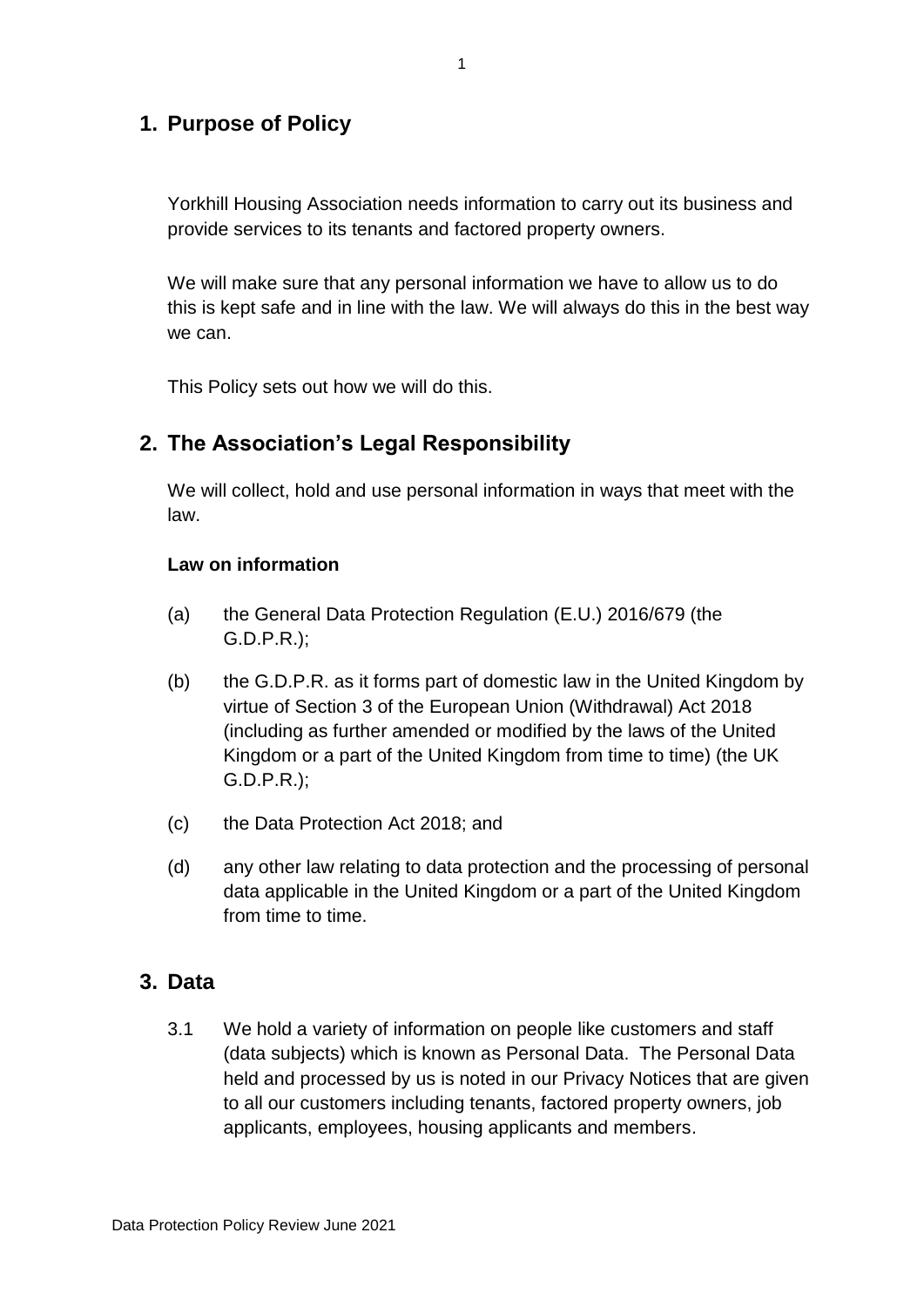## **1. Purpose of Policy**

Yorkhill Housing Association needs information to carry out its business and provide services to its tenants and factored property owners.

We will make sure that any personal information we have to allow us to do this is kept safe and in line with the law. We will always do this in the best way we can.

This Policy sets out how we will do this.

### **2. The Association's Legal Responsibility**

We will collect, hold and use personal information in ways that meet with the law.

#### **Law on information**

- (a) the General Data Protection Regulation (E.U.) 2016/679 (the G.D.P.R.);
- (b) the G.D.P.R. as it forms part of domestic law in the United Kingdom by virtue of Section 3 of the European Union (Withdrawal) Act 2018 (including as further amended or modified by the laws of the United Kingdom or a part of the United Kingdom from time to time) (the UK G.D.P.R.);
- (c) the Data Protection Act 2018; and
- (d) any other law relating to data protection and the processing of personal data applicable in the United Kingdom or a part of the United Kingdom from time to time.

### **3. Data**

3.1 We hold a variety of information on people like customers and staff (data subjects) which is known as Personal Data. The Personal Data held and processed by us is noted in our Privacy Notices that are given to all our customers including tenants, factored property owners, job applicants, employees, housing applicants and members.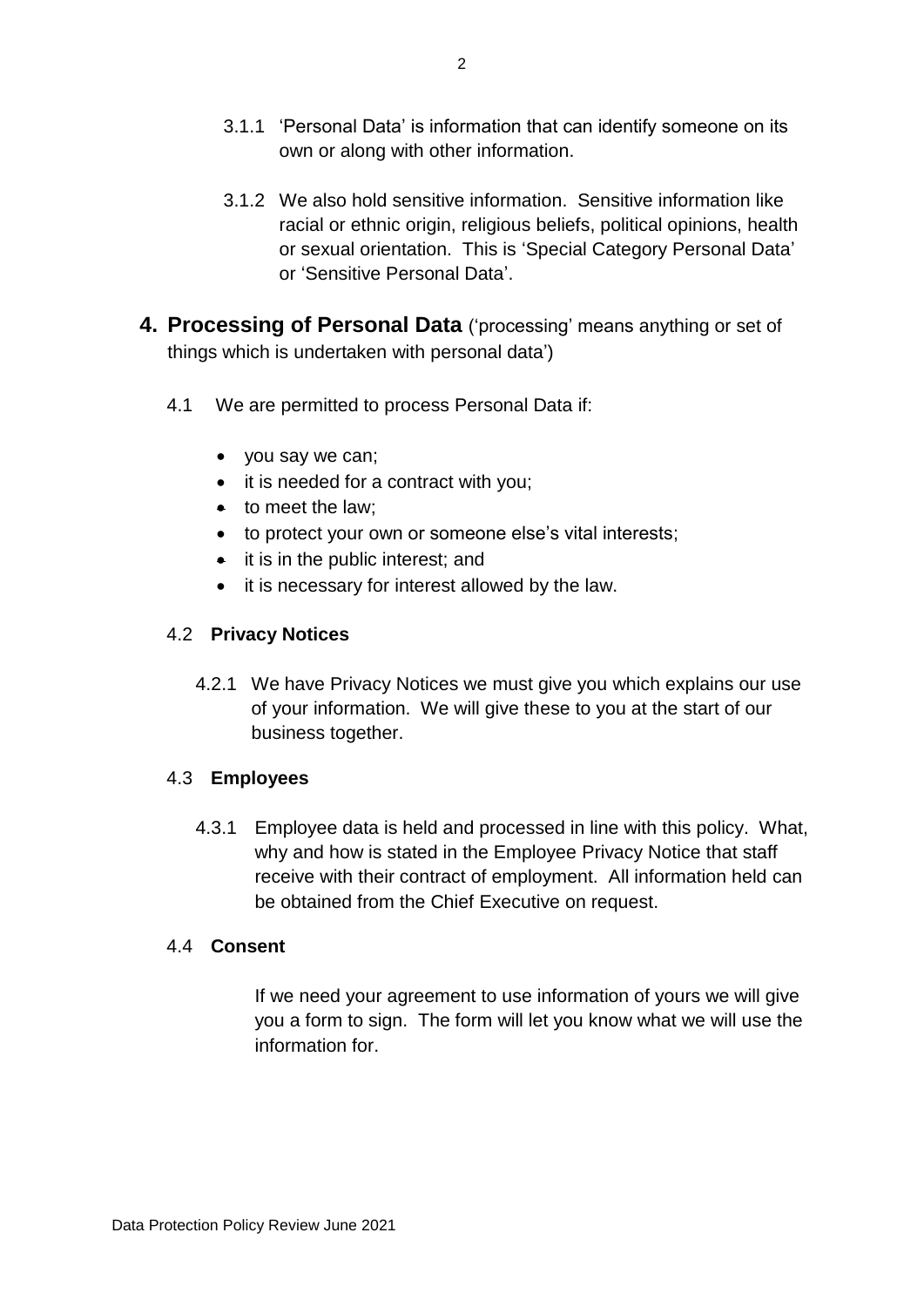- 3.1.1 'Personal Data' is information that can identify someone on its own or along with other information.
- 3.1.2 We also hold sensitive information. Sensitive information like racial or ethnic origin, religious beliefs, political opinions, health or sexual orientation. This is 'Special Category Personal Data' or 'Sensitive Personal Data'.
- **4. Processing of Personal Data** ('processing' means anything or set of things which is undertaken with personal data')
	- 4.1 We are permitted to process Personal Data if:
		- you say we can;
		- it is needed for a contract with you;
		- $\bullet$  to meet the law;
		- to protect your own or someone else's vital interests;
		- $\bullet$  it is in the public interest; and
		- it is necessary for interest allowed by the law.

#### 4.2 **Privacy Notices**

4.2.1 We have Privacy Notices we must give you which explains our use of your information. We will give these to you at the start of our business together.

#### 4.3 **Employees**

4.3.1 Employee data is held and processed in line with this policy. What, why and how is stated in the Employee Privacy Notice that staff receive with their contract of employment. All information held can be obtained from the Chief Executive on request.

#### 4.4 **Consent**

If we need your agreement to use information of yours we will give you a form to sign. The form will let you know what we will use the information for.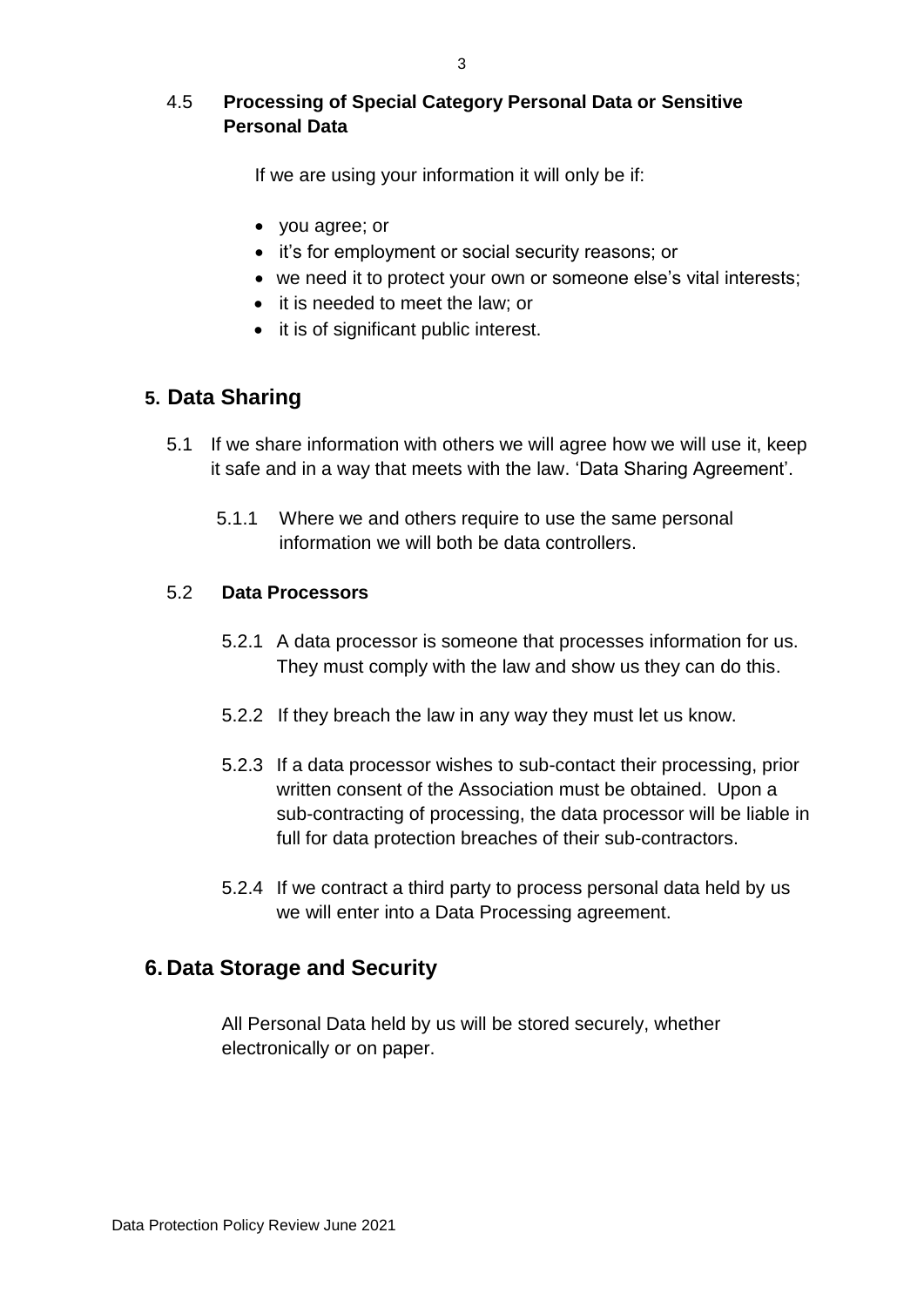#### 4.5 **Processing of Special Category Personal Data or Sensitive Personal Data**

If we are using your information it will only be if:

- you agree; or
- it's for employment or social security reasons; or
- we need it to protect your own or someone else's vital interests;
- it is needed to meet the law; or
- it is of significant public interest.

### **5. Data Sharing**

- 5.1 If we share information with others we will agree how we will use it, keep it safe and in a way that meets with the law. 'Data Sharing Agreement'.
	- 5.1.1 Where we and others require to use the same personal information we will both be data controllers.

#### 5.2 **Data Processors**

- 5.2.1 A data processor is someone that processes information for us. They must comply with the law and show us they can do this.
- 5.2.2 If they breach the law in any way they must let us know.
- 5.2.3 If a data processor wishes to sub-contact their processing, prior written consent of the Association must be obtained. Upon a sub-contracting of processing, the data processor will be liable in full for data protection breaches of their sub-contractors.
- 5.2.4 If we contract a third party to process personal data held by us we will enter into a Data Processing agreement.

### **6. Data Storage and Security**

All Personal Data held by us will be stored securely, whether electronically or on paper.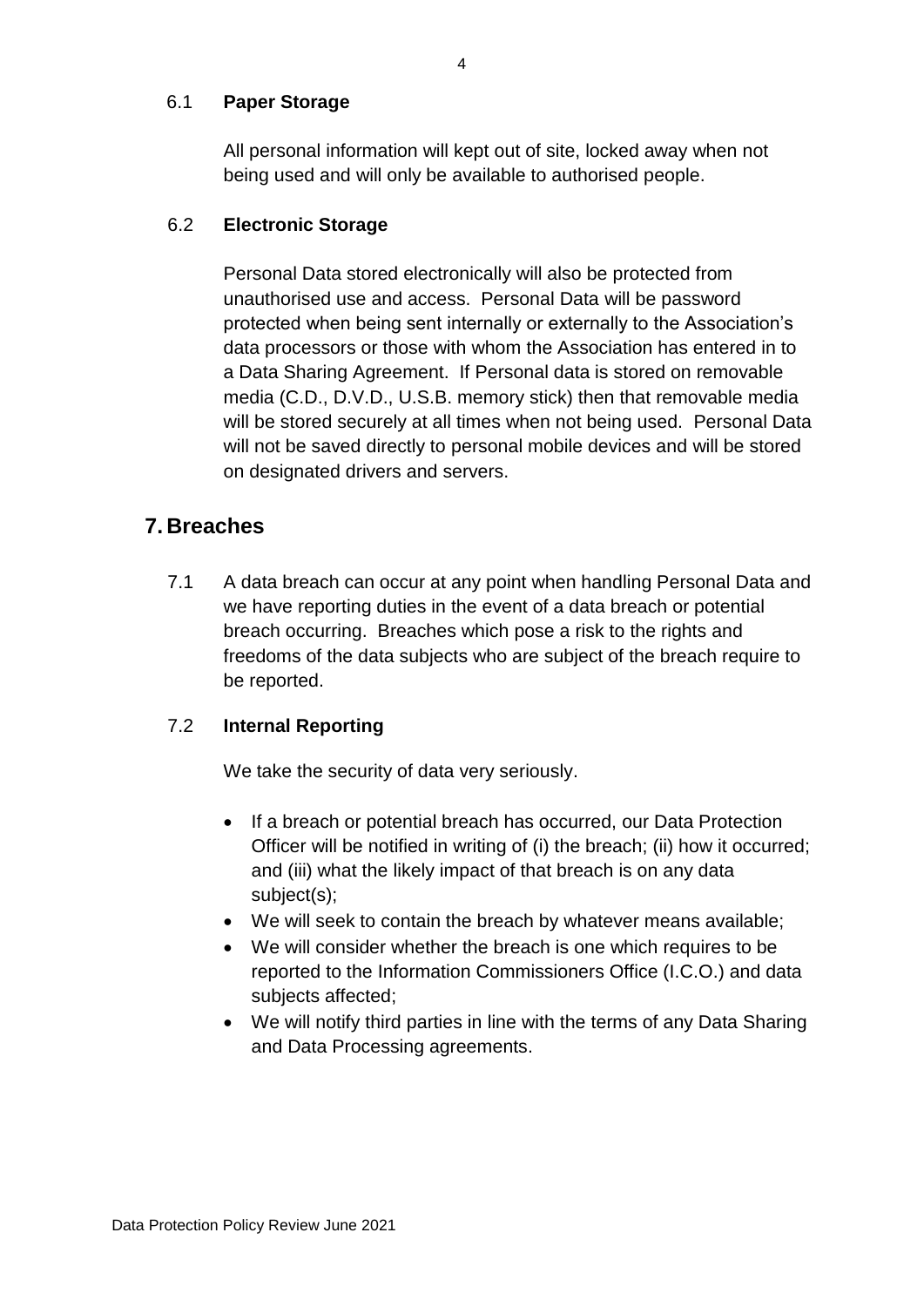#### 6.1 **Paper Storage**

All personal information will kept out of site, locked away when not being used and will only be available to authorised people.

#### 6.2 **Electronic Storage**

Personal Data stored electronically will also be protected from unauthorised use and access. Personal Data will be password protected when being sent internally or externally to the Association's data processors or those with whom the Association has entered in to a Data Sharing Agreement. If Personal data is stored on removable media (C.D., D.V.D., U.S.B. memory stick) then that removable media will be stored securely at all times when not being used. Personal Data will not be saved directly to personal mobile devices and will be stored on designated drivers and servers.

## **7. Breaches**

7.1 A data breach can occur at any point when handling Personal Data and we have reporting duties in the event of a data breach or potential breach occurring. Breaches which pose a risk to the rights and freedoms of the data subjects who are subject of the breach require to be reported.

#### 7.2 **Internal Reporting**

We take the security of data very seriously.

- If a breach or potential breach has occurred, our Data Protection Officer will be notified in writing of (i) the breach; (ii) how it occurred; and (iii) what the likely impact of that breach is on any data subject(s);
- We will seek to contain the breach by whatever means available;
- We will consider whether the breach is one which requires to be reported to the Information Commissioners Office (I.C.O.) and data subjects affected;
- We will notify third parties in line with the terms of any Data Sharing and Data Processing agreements.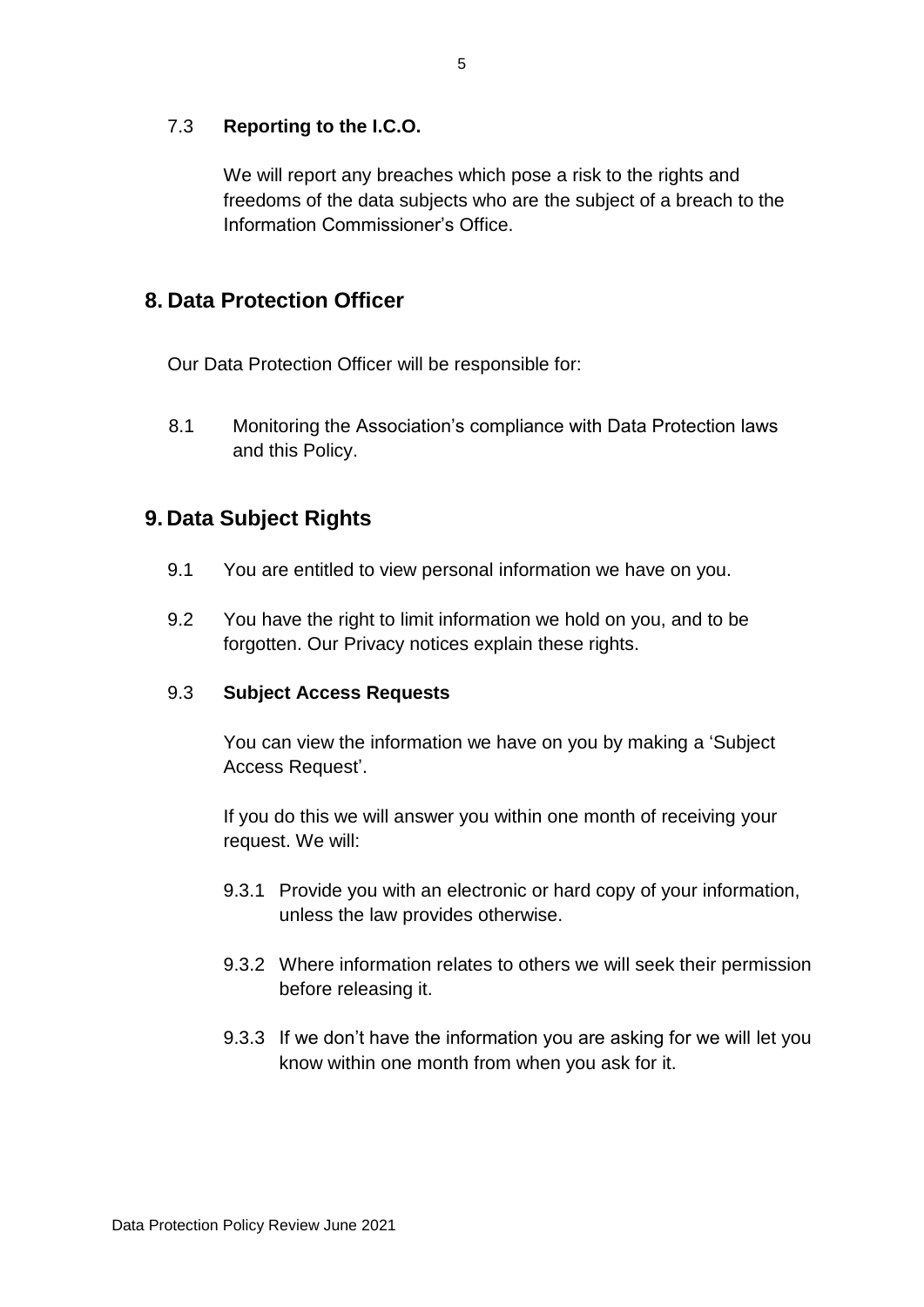#### 7.3 **Reporting to the I.C.O.**

We will report any breaches which pose a risk to the rights and freedoms of the data subjects who are the subject of a breach to the Information Commissioner's Office.

## **8. Data Protection Officer**

Our Data Protection Officer will be responsible for:

8.1 Monitoring the Association's compliance with Data Protection laws and this Policy.

## **9. Data Subject Rights**

- 9.1 You are entitled to view personal information we have on you.
- 9.2 You have the right to limit information we hold on you, and to be forgotten. Our Privacy notices explain these rights.

#### 9.3 **Subject Access Requests**

You can view the information we have on you by making a 'Subject Access Request'.

If you do this we will answer you within one month of receiving your request. We will:

- 9.3.1 Provide you with an electronic or hard copy of your information, unless the law provides otherwise.
- 9.3.2 Where information relates to others we will seek their permission before releasing it.
- 9.3.3 If we don't have the information you are asking for we will let you know within one month from when you ask for it.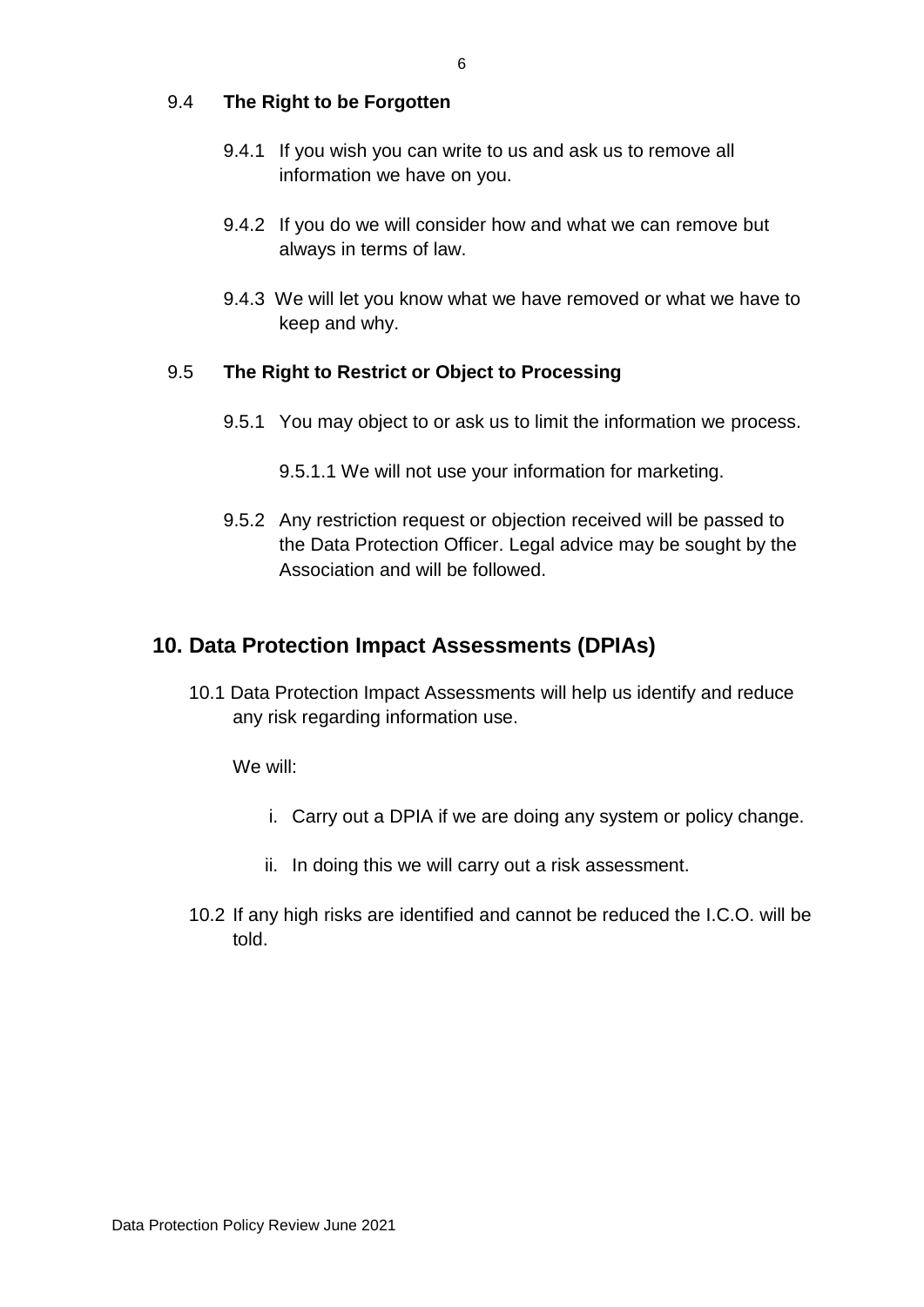#### 9.4 **The Right to be Forgotten**

- 9.4.1 If you wish you can write to us and ask us to remove all information we have on you.
- 9.4.2 If you do we will consider how and what we can remove but always in terms of law.
- 9.4.3 We will let you know what we have removed or what we have to keep and why.

#### 9.5 **The Right to Restrict or Object to Processing**

- 9.5.1 You may object to or ask us to limit the information we process.
	- 9.5.1.1 We will not use your information for marketing.
- 9.5.2 Any restriction request or objection received will be passed to the Data Protection Officer. Legal advice may be sought by the Association and will be followed.

## **10. Data Protection Impact Assessments (DPIAs)**

10.1 Data Protection Impact Assessments will help us identify and reduce any risk regarding information use.

We will:

- i. Carry out a DPIA if we are doing any system or policy change.
- ii. In doing this we will carry out a risk assessment.
- 10.2 If any high risks are identified and cannot be reduced the I.C.O. will be told.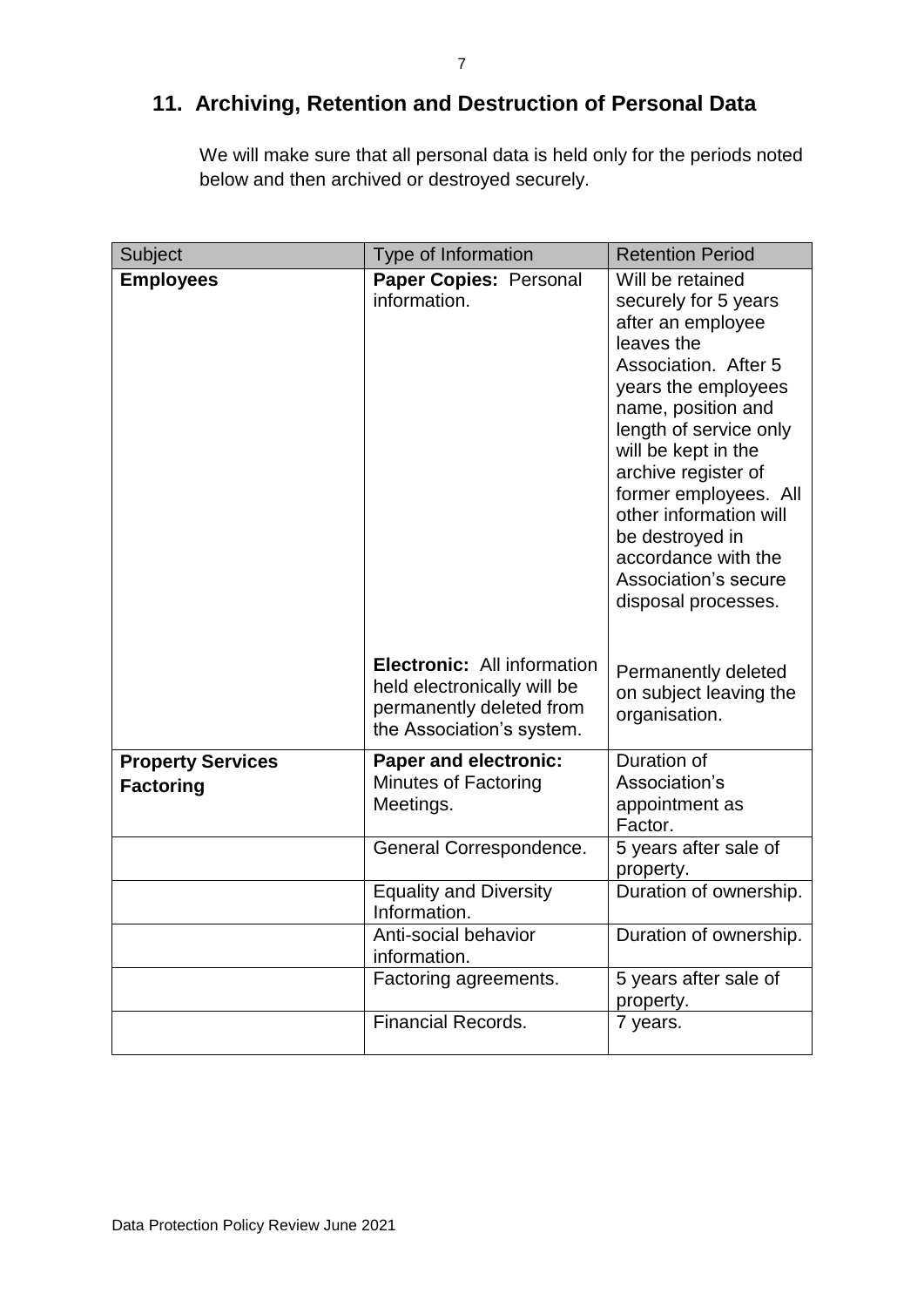# **11. Archiving, Retention and Destruction of Personal Data**

We will make sure that all personal data is held only for the periods noted below and then archived or destroyed securely.

| Type of Information<br>Subject               |                                                                                                                            | <b>Retention Period</b>                                                                                                                                                                                                                                                                                                                                              |
|----------------------------------------------|----------------------------------------------------------------------------------------------------------------------------|----------------------------------------------------------------------------------------------------------------------------------------------------------------------------------------------------------------------------------------------------------------------------------------------------------------------------------------------------------------------|
| <b>Employees</b>                             | Paper Copies: Personal<br>information.                                                                                     | Will be retained<br>securely for 5 years<br>after an employee<br>leaves the<br>Association. After 5<br>years the employees<br>name, position and<br>length of service only<br>will be kept in the<br>archive register of<br>former employees. All<br>other information will<br>be destroyed in<br>accordance with the<br>Association's secure<br>disposal processes. |
|                                              | <b>Electronic:</b> All information<br>held electronically will be<br>permanently deleted from<br>the Association's system. | Permanently deleted<br>on subject leaving the<br>organisation.                                                                                                                                                                                                                                                                                                       |
| <b>Property Services</b><br><b>Factoring</b> | <b>Paper and electronic:</b><br><b>Minutes of Factoring</b><br>Meetings.                                                   | Duration of<br>Association's<br>appointment as<br>Factor.                                                                                                                                                                                                                                                                                                            |
|                                              | General Correspondence.                                                                                                    | 5 years after sale of<br>property.                                                                                                                                                                                                                                                                                                                                   |
|                                              | <b>Equality and Diversity</b><br>Information.                                                                              | Duration of ownership.                                                                                                                                                                                                                                                                                                                                               |
|                                              | Anti-social behavior<br>information.                                                                                       | Duration of ownership.                                                                                                                                                                                                                                                                                                                                               |
|                                              | Factoring agreements.                                                                                                      | 5 years after sale of<br>property.                                                                                                                                                                                                                                                                                                                                   |
|                                              | <b>Financial Records.</b>                                                                                                  | 7 years.                                                                                                                                                                                                                                                                                                                                                             |